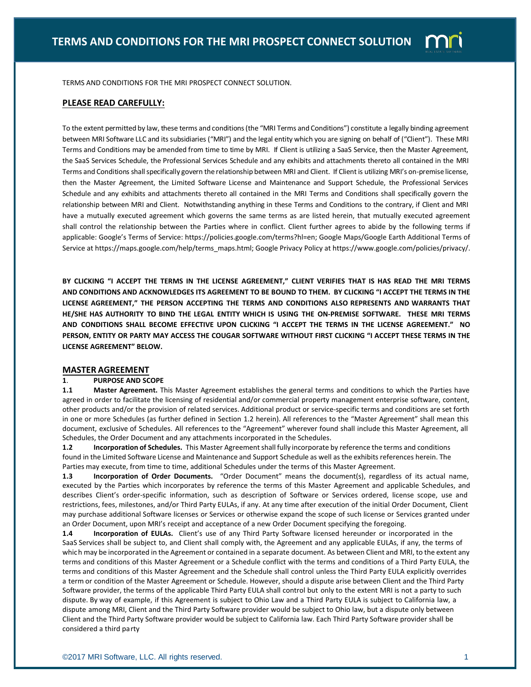

TERMS AND CONDITIONS FOR THE MRI PROSPECT CONNECT SOLUTION.

## **PLEASE READ CAREFULLY:**

To the extent permitted by law, these terms and conditions (the "MRI Terms and Conditions") constitute a legally binding agreement between MRI Software LLC and its subsidiaries ("MRI") and the legal entity which you are signing on behalf of ("Client"). These MRI Terms and Conditions may be amended from time to time by MRI. If Client is utilizing a SaaS Service, then the Master Agreement, the SaaS Services Schedule, the Professional Services Schedule and any exhibits and attachments thereto all contained in the MRI Terms and Conditions shall specifically govern the relationship between MRI and Client. If Client is utilizing MRI's on-premise license, then the Master Agreement, the Limited Software License and Maintenance and Support Schedule, the Professional Services Schedule and any exhibits and attachments thereto all contained in the MRI Terms and Conditions shall specifically govern the relationship between MRI and Client. Notwithstanding anything in these Terms and Conditions to the contrary, if Client and MRI have a mutually executed agreement which governs the same terms as are listed herein, that mutually executed agreement shall control the relationship between the Parties where in conflict. Client further agrees to abide by the following terms if applicable: Google's Terms of Service: https://policies.google.com/terms?hl=en; Google Maps/Google Earth Additional Terms of Service at https://maps.google.com/help/terms\_maps.html; Google Privacy Policy at https://www.google.com/policies/privacy/.

**BY CLICKING "I ACCEPT THE TERMS IN THE LICENSE AGREEMENT," CLIENT VERIFIES THAT IS HAS READ THE MRI TERMS AND CONDITIONS AND ACKNOWLEDGES ITS AGREEMENT TO BE BOUND TO THEM. BY CLICKING "I ACCEPT THE TERMS IN THE LICENSE AGREEMENT," THE PERSON ACCEPTING THE TERMS AND CONDITIONS ALSO REPRESENTS AND WARRANTS THAT HE/SHE HAS AUTHORITY TO BIND THE LEGAL ENTITY WHICH IS USING THE ON-PREMISE SOFTWARE. THESE MRI TERMS AND CONDITIONS SHALL BECOME EFFECTIVE UPON CLICKING "I ACCEPT THE TERMS IN THE LICENSE AGREEMENT." NO PERSON, ENTITY OR PARTY MAY ACCESS THE COUGAR SOFTWARE WITHOUT FIRST CLICKING "I ACCEPT THESE TERMS IN THE LICENSE AGREEMENT" BELOW.**

### **MASTER AGREEMENT**

## **1**. **PURPOSE AND SCOPE**

**1.1 Master Agreement.** This Master Agreement establishes the general terms and conditions to which the Parties have agreed in order to facilitate the licensing of residential and/or commercial property management enterprise software, content, other products and/or the provision of related services. Additional product or service-specific terms and conditions are set forth in one or more Schedules (as further defined in Section 1.2 herein). All references to the "Master Agreement" shall mean this document, exclusive of Schedules. All references to the "Agreement" wherever found shall include this Master Agreement, all Schedules, the Order Document and any attachments incorporated in the Schedules.

**1.2 Incorporation of Schedules.** This Master Agreement shall fully incorporate by reference the terms and conditions found in the Limited Software License and Maintenance and Support Schedule as well as the exhibits references herein. The Parties may execute, from time to time, additional Schedules under the terms of this Master Agreement.

**1.3 Incorporation of Order Documents.** "Order Document" means the document(s), regardless of its actual name, executed by the Parties which incorporates by reference the terms of this Master Agreement and applicable Schedules, and describes Client's order-specific information, such as description of Software or Services ordered, license scope, use and restrictions, fees, milestones, and/or Third Party EULAs, if any. At any time after execution of the initial Order Document, Client may purchase additional Software licenses or Services or otherwise expand the scope of such license or Services granted under an Order Document, upon MRI's receipt and acceptance of a new Order Document specifying the foregoing.

**1.4 Incorporation of EULAs.** Client's use of any Third Party Software licensed hereunder or incorporated in the SaaS Services shall be subject to, and Client shall comply with, the Agreement and any applicable EULAs, if any, the terms of which may be incorporated in the Agreement or contained in a separate document. As between Client and MRI, to the extent any terms and conditions of this Master Agreement or a Schedule conflict with the terms and conditions of a Third Party EULA, the terms and conditions of this Master Agreement and the Schedule shall control unless the Third Party EULA explicitly overrides a term or condition of the Master Agreement or Schedule. However, should a dispute arise between Client and the Third Party Software provider, the terms of the applicable Third Party EULA shall control but only to the extent MRI is not a party to such dispute. By way of example, if this Agreement is subject to Ohio Law and a Third Party EULA is subject to California law, a dispute among MRI, Client and the Third Party Software provider would be subject to Ohio law, but a dispute only between Client and the Third Party Software provider would be subject to California law. Each Third Party Software provider shall be considered a third party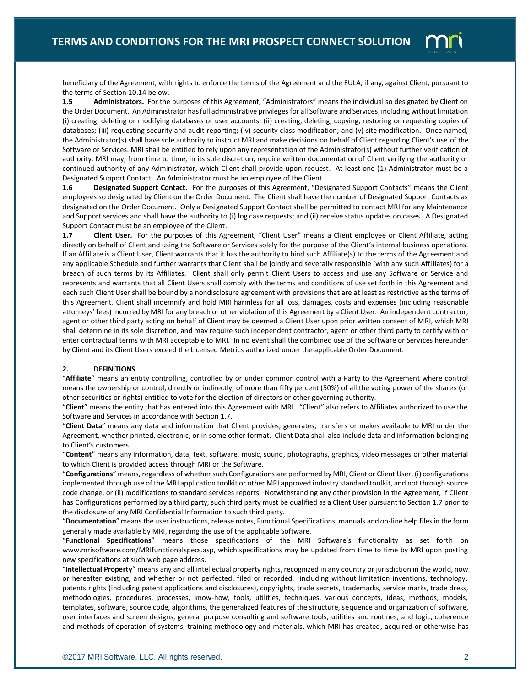

beneficiary of the Agreement, with rights to enforce the terms of the Agreement and the EULA, if any, against Client, pursuant to the terms of Section 10.14 below.

**1.5 Administrators.** For the purposes of this Agreement, "Administrators" means the individual so designated by Client on the Order Document. An Administrator has full administrative privileges for all Software and Services, including without limitation (i) creating, deleting or modifying databases or user accounts; (ii) creating, deleting, copying, restoring or requesting copies of databases; (iii) requesting security and audit reporting; (iv) security class modification; and (v) site modification. Once named, the Administrator(s) shall have sole authority to instruct MRI and make decisions on behalf of Client regarding Client's use of the Software or Services. MRI shall be entitled to rely upon any representation of the Administrator(s) without further verification of authority. MRI may, from time to time, in its sole discretion, require written documentation of Client verifying the authority or continued authority of any Administrator, which Client shall provide upon request. At least one (1) Administrator must be a Designated Support Contact. An Administrator must be an employee of the Client.

**1.6 Designated Support Contact.** For the purposes of this Agreement, "Designated Support Contacts" means the Client employees so designated by Client on the Order Document. The Client shall have the number of Designated Support Contacts as designated on the Order Document. Only a Designated Support Contact shall be permitted to contact MRI for any Maintenance and Support services and shall have the authority to (i) log case requests; and (ii) receive status updates on cases. A Designated Support Contact must be an employee of the Client.

**1.7 Client User.** For the purposes of this Agreement, "Client User" means a Client employee or Client Affiliate, acting directly on behalf of Client and using the Software or Services solely for the purpose of the Client's internal business operations. If an Affiliate is a Client User, Client warrants that it has the authority to bind such Affiliate(s) to the terms of the Agreement and any applicable Schedule and further warrants that Client shall be jointly and severally responsible (with any such Affiliates) for a breach of such terms by its Affiliates. Client shall only permit Client Users to access and use any Software or Service and represents and warrants that all Client Users shall comply with the terms and conditions of use set forth in this Agreement and each such Client User shall be bound by a nondisclosure agreement with provisions that are at least as restrictive as the terms of this Agreement. Client shall indemnify and hold MRI harmless for all loss, damages, costs and expenses (including reasonable attorneys' fees) incurred by MRI for any breach or other violation of this Agreement by a Client User. An independent contractor, agent or other third party acting on behalf of Client may be deemed a Client User upon prior written consent of MRI, which MRI shall determine in its sole discretion, and may require such independent contractor, agent or other third party to certify with or enter contractual terms with MRI acceptable to MRI. In no event shall the combined use of the Software or Services hereunder by Client and its Client Users exceed the Licensed Metrics authorized under the applicable Order Document.

### **2. DEFINITIONS**

"**Affiliate**" means an entity controlling, controlled by or under common control with a Party to the Agreement where control means the ownership or control, directly or indirectly, of more than fifty percent (50%) of all the voting power of the shares (or other securities or rights) entitled to vote for the election of directors or other governing authority.

"**Client**" means the entity that has entered into this Agreement with MRI. "Client" also refers to Affiliates authorized to use the Software and Services in accordance with Section 1.7.

"**Client Data**" means any data and information that Client provides, generates, transfers or makes available to MRI under the Agreement, whether printed, electronic, or in some other format. Client Data shall also include data and information belonging to Client's customers.

"**Content**" means any information, data, text, software, music, sound, photographs, graphics, video messages or other material to which Client is provided access through MRI or the Software.

"**Configurations**" means, regardless of whether such Configurations are performed by MRI, Client or Client User, (i) configurations implemented through use of the MRI application toolkit or other MRI approved industry standard toolkit, and not through source code change, or (ii) modifications to standard services reports. Notwithstanding any other provision in the Agreement, if Client has Configurations performed by a third party, such third party must be qualified as a Client User pursuant to Section 1.7 prior to the disclosure of any MRI Confidential Information to such third party.

"**Documentation**" means the user instructions, release notes, Functional Specifications, manuals and on-line help files in the form generally made available by MRI, regarding the use of the applicable Software.

"**Functional Specifications**" means those specifications of the MRI Software's functionality as set forth on www.mrisoftware.com/MRIfunctionalspecs.asp, which specifications may be updated from time to time by MRI upon posting new specifications at such web page address.

"**Intellectual Property**" means any and all intellectual property rights, recognized in any country or jurisdiction in the world, now or hereafter existing, and whether or not perfected, filed or recorded, including without limitation inventions, technology, patents rights (including patent applications and disclosures), copyrights, trade secrets, trademarks, service marks, trade dress, methodologies, procedures, processes, know-how, tools, utilities, techniques, various concepts, ideas, methods, models, templates, software, source code, algorithms, the generalized features of the structure, sequence and organization of software, user interfaces and screen designs, general purpose consulting and software tools, utilities and routines, and logic, coherence and methods of operation of systems, training methodology and materials, which MRI has created, acquired or otherwise has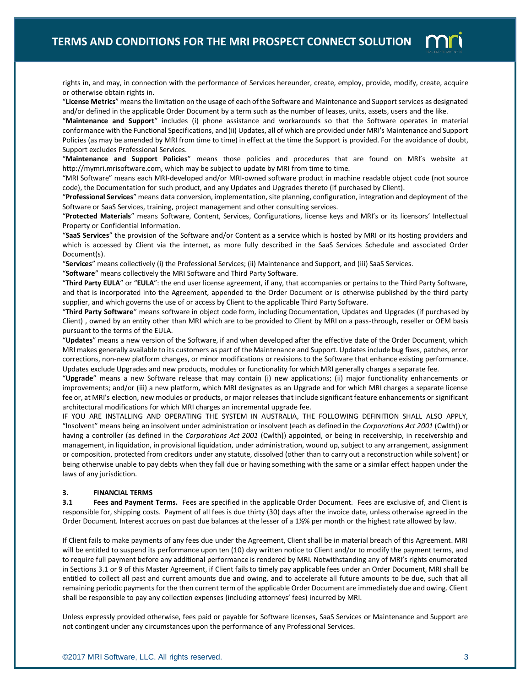

rights in, and may, in connection with the performance of Services hereunder, create, employ, provide, modify, create, acquire or otherwise obtain rights in.

"**License Metrics**" means the limitation on the usage of each of the Software and Maintenance and Support services as designated and/or defined in the applicable Order Document by a term such as the number of leases, units, assets, users and the like.

"**Maintenance and Support**" includes (i) phone assistance and workarounds so that the Software operates in material conformance with the Functional Specifications, and (ii) Updates, all of which are provided under MRI's Maintenance and Support Policies (as may be amended by MRI from time to time) in effect at the time the Support is provided. For the avoidance of doubt, Support excludes Professional Services.

"**Maintenance and Support Policies**" means those policies and procedures that are found on MRI's website at http://mymri.mrisoftware.com, which may be subject to update by MRI from time to time.

"MRI Software" means each MRI-developed and/or MRI-owned software product in machine readable object code (not source code), the Documentation for such product, and any Updates and Upgrades thereto (if purchased by Client).

"**Professional Services**" means data conversion, implementation, site planning, configuration, integration and deployment of the Software or SaaS Services, training, project management and other consulting services.

"**Protected Materials**" means Software, Content, Services, Configurations, license keys and MRI's or its licensors' Intellectual Property or Confidential Information.

"**SaaS Services**" the provision of the Software and/or Content as a service which is hosted by MRI or its hosting providers and which is accessed by Client via the internet, as more fully described in the SaaS Services Schedule and associated Order Document(s).

"**Services**" means collectively (i) the Professional Services; (ii) Maintenance and Support, and (iii) SaaS Services.

"**Software**" means collectively the MRI Software and Third Party Software.

"**Third Party EULA**" or "**EULA**": the end user license agreement, if any, that accompanies or pertains to the Third Party Software, and that is incorporated into the Agreement, appended to the Order Document or is otherwise published by the third party supplier, and which governs the use of or access by Client to the applicable Third Party Software.

"**Third Party Software**" means software in object code form, including Documentation, Updates and Upgrades (if purchased by Client) , owned by an entity other than MRI which are to be provided to Client by MRI on a pass-through, reseller or OEM basis pursuant to the terms of the EULA.

"**Updates**" means a new version of the Software, if and when developed after the effective date of the Order Document, which MRI makes generally available to its customers as part of the Maintenance and Support. Updates include bug fixes, patches, error corrections, non-new platform changes, or minor modifications or revisions to the Software that enhance existing performance. Updates exclude Upgrades and new products, modules or functionality for which MRI generally charges a separate fee.

"**Upgrade**" means a new Software release that may contain (i) new applications; (ii) major functionality enhancements or improvements; and/or (iii) a new platform, which MRI designates as an Upgrade and for which MRI charges a separate license fee or, at MRI's election, new modules or products, or major releases that include significant feature enhancements or significant architectural modifications for which MRI charges an incremental upgrade fee.

IF YOU ARE INSTALLING AND OPERATING THE SYSTEM IN AUSTRALIA, THE FOLLOWING DEFINITION SHALL ALSO APPLY, "Insolvent" means being an insolvent under administration or insolvent (each as defined in the *Corporations Act 2001* (Cwlth)) or having a controller (as defined in the *Corporations Act 2001* (Cwlth)) appointed, or being in receivership, in receivership and management, in liquidation, in provisional liquidation, under administration, wound up, subject to any arrangement, assignment or composition, protected from creditors under any statute, dissolved (other than to carry out a reconstruction while solvent) or being otherwise unable to pay debts when they fall due or having something with the same or a similar effect happen under the laws of any jurisdiction.

## **3. FINANCIAL TERMS**

**3.1 Fees and Payment Terms.** Fees are specified in the applicable Order Document. Fees are exclusive of, and Client is responsible for, shipping costs. Payment of all fees is due thirty (30) days after the invoice date, unless otherwise agreed in the Order Document. Interest accrues on past due balances at the lesser of a 1½% per month or the highest rate allowed by law.

If Client fails to make payments of any fees due under the Agreement, Client shall be in material breach of this Agreement. MRI will be entitled to suspend its performance upon ten (10) day written notice to Client and/or to modify the payment terms, and to require full payment before any additional performance is rendered by MRI. Notwithstanding any of MRI's rights enumerated in Sections 3.1 or 9 of this Master Agreement, if Client fails to timely pay applicable fees under an Order Document, MRI shall be entitled to collect all past and current amounts due and owing, and to accelerate all future amounts to be due, such that all remaining periodic payments for the then current term of the applicable Order Document are immediately due and owing. Client shall be responsible to pay any collection expenses (including attorneys' fees) incurred by MRI.

Unless expressly provided otherwise, fees paid or payable for Software licenses, SaaS Services or Maintenance and Support are not contingent under any circumstances upon the performance of any Professional Services.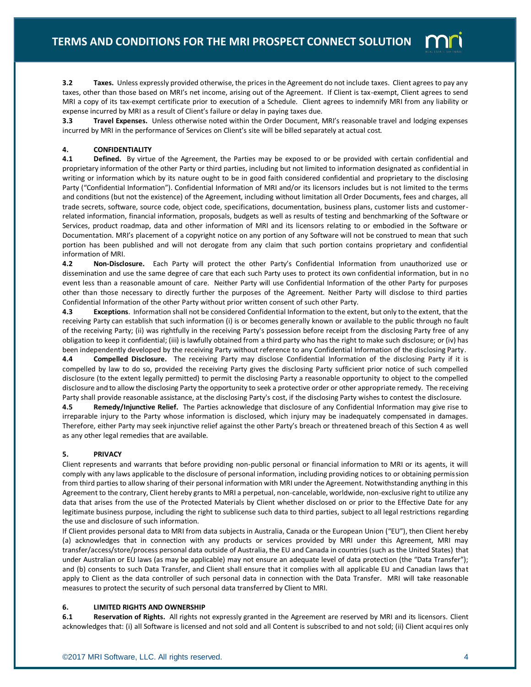

**3.2** Taxes. Unless expressly provided otherwise, the prices in the Agreement do not include taxes. Client agrees to pay any taxes, other than those based on MRI's net income, arising out of the Agreement. If Client is tax-exempt, Client agrees to send MRI a copy of its tax-exempt certificate prior to execution of a Schedule. Client agrees to indemnify MRI from any liability or expense incurred by MRI as a result of Client's failure or delay in paying taxes due.

**3.3** Travel Expenses. Unless otherwise noted within the Order Document, MRI's reasonable travel and lodging expenses incurred by MRI in the performance of Services on Client's site will be billed separately at actual cost.

## **4. CONFIDENTIALITY**

**4.1 Defined.** By virtue of the Agreement, the Parties may be exposed to or be provided with certain confidential and proprietary information of the other Party or third parties, including but not limited to information designated as confidential in writing or information which by its nature ought to be in good faith considered confidential and proprietary to the disclosing Party ("Confidential Information"). Confidential Information of MRI and/or its licensors includes but is not limited to the terms and conditions (but not the existence) of the Agreement, including without limitation all Order Documents, fees and charges, all trade secrets, software, source code, object code, specifications, documentation, business plans, customer lists and customerrelated information, financial information, proposals, budgets as well as results of testing and benchmarking of the Software or Services, product roadmap, data and other information of MRI and its licensors relating to or embodied in the Software or Documentation. MRI's placement of a copyright notice on any portion of any Software will not be construed to mean that such portion has been published and will not derogate from any claim that such portion contains proprietary and confidential information of MRI.

**4.2 Non-Disclosure.** Each Party will protect the other Party's Confidential Information from unauthorized use or dissemination and use the same degree of care that each such Party uses to protect its own confidential information, but in no event less than a reasonable amount of care. Neither Party will use Confidential Information of the other Party for purposes other than those necessary to directly further the purposes of the Agreement. Neither Party will disclose to third parties Confidential Information of the other Party without prior written consent of such other Party.

**4.3 Exceptions**. Information shall not be considered Confidential Information to the extent, but only to the extent, that the receiving Party can establish that such information (i) is or becomes generally known or available to the public through no fault of the receiving Party; (ii) was rightfully in the receiving Party's possession before receipt from the disclosing Party free of any obligation to keep it confidential; (iii) is lawfully obtained from a third party who has the right to make such disclosure; or (iv) has been independently developed by the receiving Party without reference to any Confidential Information of the disclosing Party.

**4.4 Compelled Disclosure.** The receiving Party may disclose Confidential Information of the disclosing Party if it is compelled by law to do so, provided the receiving Party gives the disclosing Party sufficient prior notice of such compelled disclosure (to the extent legally permitted) to permit the disclosing Party a reasonable opportunity to object to the compelled disclosure and to allow the disclosing Party the opportunity to seek a protective order or other appropriate remedy. The receiving Party shall provide reasonable assistance, at the disclosing Party's cost, if the disclosing Party wishes to contest the disclosure.

**4.5 Remedy/Injunctive Relief.** The Parties acknowledge that disclosure of any Confidential Information may give rise to irreparable injury to the Party whose information is disclosed, which injury may be inadequately compensated in damages. Therefore, either Party may seek injunctive relief against the other Party's breach or threatened breach of this Section 4 as well as any other legal remedies that are available.

## **5. PRIVACY**

Client represents and warrants that before providing non-public personal or financial information to MRI or its agents, it will comply with any laws applicable to the disclosure of personal information, including providing notices to or obtaining permission from third parties to allow sharing of their personal information with MRI under the Agreement. Notwithstanding anything in this Agreement to the contrary, Client hereby grants to MRI a perpetual, non-cancelable, worldwide, non-exclusive right to utilize any data that arises from the use of the Protected Materials by Client whether disclosed on or prior to the Effective Date for any legitimate business purpose, including the right to sublicense such data to third parties, subject to all legal restrictions regarding the use and disclosure of such information.

If Client provides personal data to MRI from data subjects in Australia, Canada or the European Union ("EU"), then Client hereby (a) acknowledges that in connection with any products or services provided by MRI under this Agreement, MRI may transfer/access/store/process personal data outside of Australia, the EU and Canada in countries (such as the United States) that under Australian or EU laws (as may be applicable) may not ensure an adequate level of data protection (the "Data Transfer"); and (b) consents to such Data Transfer, and Client shall ensure that it complies with all applicable EU and Canadian laws that apply to Client as the data controller of such personal data in connection with the Data Transfer. MRI will take reasonable measures to protect the security of such personal data transferred by Client to MRI.

## **6. LIMITED RIGHTS AND OWNERSHIP**

**6.1 Reservation of Rights.** All rights not expressly granted in the Agreement are reserved by MRI and its licensors. Client acknowledges that: (i) all Software is licensed and not sold and all Content is subscribed to and not sold; (ii) Client acquires only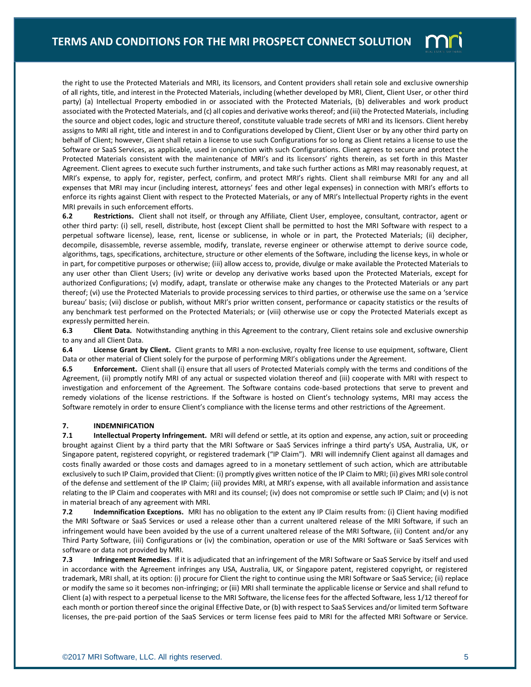

the right to use the Protected Materials and MRI, its licensors, and Content providers shall retain sole and exclusive ownership of all rights, title, and interest in the Protected Materials, including (whether developed by MRI, Client, Client User, or other third party) (a) Intellectual Property embodied in or associated with the Protected Materials, (b) deliverables and work product associated with the Protected Materials, and (c) all copies and derivative works thereof; and (iii) the Protected Materials, including the source and object codes, logic and structure thereof, constitute valuable trade secrets of MRI and its licensors. Client hereby assigns to MRI all right, title and interest in and to Configurations developed by Client, Client User or by any other third party on behalf of Client; however, Client shall retain a license to use such Configurations for so long as Client retains a license to use the Software or SaaS Services, as applicable, used in conjunction with such Configurations. Client agrees to secure and protect the Protected Materials consistent with the maintenance of MRI's and its licensors' rights therein, as set forth in this Master Agreement. Client agrees to execute such further instruments, and take such further actions as MRI may reasonably request, at MRI's expense, to apply for, register, perfect, confirm, and protect MRI's rights. Client shall reimburse MRI for any and all expenses that MRI may incur (including interest, attorneys' fees and other legal expenses) in connection with MRI's efforts to enforce its rights against Client with respect to the Protected Materials, or any of MRI's Intellectual Property rights in the event MRI prevails in such enforcement efforts.

**6.2 Restrictions.** Client shall not itself, or through any Affiliate, Client User, employee, consultant, contractor, agent or other third party: (i) sell, resell, distribute, host (except Client shall be permitted to host the MRI Software with respect to a perpetual software license), lease, rent, license or sublicense, in whole or in part, the Protected Materials; (ii) decipher, decompile, disassemble, reverse assemble, modify, translate, reverse engineer or otherwise attempt to derive source code, algorithms, tags, specifications, architecture, structure or other elements of the Software, including the license keys, in whole or in part, for competitive purposes or otherwise; (iii) allow access to, provide, divulge or make available the Protected Materials to any user other than Client Users; (iv) write or develop any derivative works based upon the Protected Materials, except for authorized Configurations; (v) modify, adapt, translate or otherwise make any changes to the Protected Materials or any part thereof; (vi) use the Protected Materials to provide processing services to third parties, or otherwise use the same on a 'service bureau' basis; (vii) disclose or publish, without MRI's prior written consent, performance or capacity statistics or the results of any benchmark test performed on the Protected Materials; or (viii) otherwise use or copy the Protected Materials except as expressly permitted herein.

**6.3 Client Data.** Notwithstanding anything in this Agreement to the contrary, Client retains sole and exclusive ownership to any and all Client Data.

**6.4 License Grant by Client.** Client grants to MRI a non-exclusive, royalty free license to use equipment, software, Client Data or other material of Client solely for the purpose of performing MRI's obligations under the Agreement.

**6.5 Enforcement.** Client shall (i) ensure that all users of Protected Materials comply with the terms and conditions of the Agreement, (ii) promptly notify MRI of any actual or suspected violation thereof and (iii) cooperate with MRI with respect to investigation and enforcement of the Agreement. The Software contains code-based protections that serve to prevent and remedy violations of the license restrictions. If the Software is hosted on Client's technology systems, MRI may access the Software remotely in order to ensure Client's compliance with the license terms and other restrictions of the Agreement.

### **7. INDEMNIFICATION**

**7.1 Intellectual Property Infringement.** MRI will defend or settle, at its option and expense, any action, suit or proceeding brought against Client by a third party that the MRI Software or SaaS Services infringe a third party's USA, Australia, UK, or Singapore patent, registered copyright, or registered trademark ("IP Claim"). MRI will indemnify Client against all damages and costs finally awarded or those costs and damages agreed to in a monetary settlement of such action, which are attributable exclusively to such IP Claim, provided that Client: (i) promptly gives written notice of the IP Claim to MRI; (ii) gives MRI sole control of the defense and settlement of the IP Claim; (iii) provides MRI, at MRI's expense, with all available information and assistance relating to the IP Claim and cooperates with MRI and its counsel; (iv) does not compromise or settle such IP Claim; and (v) is not in material breach of any agreement with MRI.

**7.2 Indemnification Exceptions.** MRI has no obligation to the extent any IP Claim results from: (i) Client having modified the MRI Software or SaaS Services or used a release other than a current unaltered release of the MRI Software, if such an infringement would have been avoided by the use of a current unaltered release of the MRI Software, (ii) Content and/or any Third Party Software, (iii) Configurations or (iv) the combination, operation or use of the MRI Software or SaaS Services with software or data not provided by MRI.

**7.3 Infringement Remedies**. If it is adjudicated that an infringement of the MRI Software or SaaS Service by itself and used in accordance with the Agreement infringes any USA, Australia, UK, or Singapore patent, registered copyright, or registered trademark, MRI shall, at its option: (i) procure for Client the right to continue using the MRI Software or SaaS Service; (ii) replace or modify the same so it becomes non-infringing; or (iii) MRI shall terminate the applicable license or Service and shall refund to Client (a) with respect to a perpetual license to the MRI Software, the license fees for the affected Software, less 1/12 thereof for each month or portion thereof since the original Effective Date, or (b) with respect to SaaS Services and/or limited term Software licenses, the pre-paid portion of the SaaS Services or term license fees paid to MRI for the affected MRI Software or Service.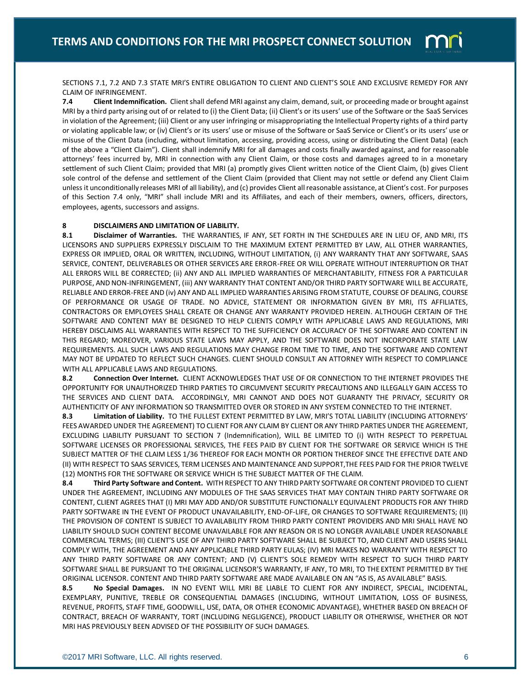

SECTIONS 7.1, 7.2 AND 7.3 STATE MRI'S ENTIRE OBLIGATION TO CLIENT AND CLIENT'S SOLE AND EXCLUSIVE REMEDY FOR ANY CLAIM OF INFRINGEMENT.

**7.4 Client Indemnification.** Client shall defend MRI against any claim, demand, suit, or proceeding made or brought against MRI by a third party arising out of or related to (i) the Client Data; (ii) Client's or its users' use of the Software or the SaaS Services in violation of the Agreement; (iii) Client or any user infringing or misappropriating the Intellectual Property rights of a third party or violating applicable law; or (iv) Client's or its users' use or misuse of the Software or SaaS Service or Client's or its users' use or misuse of the Client Data (including, without limitation, accessing, providing access, using or distributing the Client Data) (each of the above a "Client Claim"). Client shall indemnify MRI for all damages and costs finally awarded against, and for reasonable attorneys' fees incurred by, MRI in connection with any Client Claim, or those costs and damages agreed to in a monetary settlement of such Client Claim; provided that MRI (a) promptly gives Client written notice of the Client Claim, (b) gives Client sole control of the defense and settlement of the Client Claim (provided that Client may not settle or defend any Client Claim unless it unconditionally releases MRI of all liability), and (c) provides Client all reasonable assistance, at Client's cost. For purposes of this Section 7.4 only, "MRI" shall include MRI and its Affiliates, and each of their members, owners, officers, directors, employees, agents, successors and assigns.

## **8 DISCLAIMERS AND LIMITATION OF LIABILITY.**

**8.1 Disclaimer of Warranties.** THE WARRANTIES, IF ANY, SET FORTH IN THE SCHEDULES ARE IN LIEU OF, AND MRI, ITS LICENSORS AND SUPPLIERS EXPRESSLY DISCLAIM TO THE MAXIMUM EXTENT PERMITTED BY LAW, ALL OTHER WARRANTIES, EXPRESS OR IMPLIED, ORAL OR WRITTEN, INCLUDING, WITHOUT LIMITATION, (i) ANY WARRANTY THAT ANY SOFTWARE, SAAS SERVICE, CONTENT, DELIVERABLES OR OTHER SERVICES ARE ERROR-FREE OR WILL OPERATE WITHOUT INTERRUPTION OR THAT ALL ERRORS WILL BE CORRECTED; (ii) ANY AND ALL IMPLIED WARRANTIES OF MERCHANTABILITY, FITNESS FOR A PARTICULAR PURPOSE, AND NON-INFRINGEMENT, (iii) ANY WARRANTY THAT CONTENT AND/OR THIRD PARTY SOFTWARE WILL BE ACCURATE, RELIABLE AND ERROR-FREE AND (iv) ANY AND ALL IMPLIED WARRANTIES ARISING FROM STATUTE, COURSE OF DEALING, COURSE OF PERFORMANCE OR USAGE OF TRADE. NO ADVICE, STATEMENT OR INFORMATION GIVEN BY MRI, ITS AFFILIATES, CONTRACTORS OR EMPLOYEES SHALL CREATE OR CHANGE ANY WARRANTY PROVIDED HEREIN. ALTHOUGH CERTAIN OF THE SOFTWARE AND CONTENT MAY BE DESIGNED TO HELP CLIENTS COMPLY WITH APPLICABLE LAWS AND REGULATIONS, MRI HEREBY DISCLAIMS ALL WARRANTIES WITH RESPECT TO THE SUFFICIENCY OR ACCURACY OF THE SOFTWARE AND CONTENT IN THIS REGARD; MOREOVER, VARIOUS STATE LAWS MAY APPLY, AND THE SOFTWARE DOES NOT INCORPORATE STATE LAW REQUIREMENTS. ALL SUCH LAWS AND REGULATIONS MAY CHANGE FROM TIME TO TIME, AND THE SOFTWARE AND CONTENT MAY NOT BE UPDATED TO REFLECT SUCH CHANGES. CLIENT SHOULD CONSULT AN ATTORNEY WITH RESPECT TO COMPLIANCE WITH ALL APPLICABLE LAWS AND REGULATIONS.

**8.2 Connection Over Internet.** CLIENT ACKNOWLEDGES THAT USE OF OR CONNECTION TO THE INTERNET PROVIDES THE OPPORTUNITY FOR UNAUTHORIZED THIRD PARTIES TO CIRCUMVENT SECURITY PRECAUTIONS AND ILLEGALLY GAIN ACCESS TO THE SERVICES AND CLIENT DATA. ACCORDINGLY, MRI CANNOT AND DOES NOT GUARANTY THE PRIVACY, SECURITY OR AUTHENTICITY OF ANY INFORMATION SO TRANSMITTED OVER OR STORED IN ANY SYSTEM CONNECTED TO THE INTERNET.

**8.3 Limitation of Liability.** TO THE FULLEST EXTENT PERMITTED BY LAW, MRI'S TOTAL LIABILITY (INCLUDING ATTORNEYS' FEES AWARDED UNDER THE AGREEMENT) TO CLIENT FOR ANY CLAIM BY CLIENT OR ANY THIRD PARTIES UNDER THE AGREEMENT, EXCLUDING LIABILITY PURSUANT TO SECTION 7 (Indemnification), WILL BE LIMITED TO (i) WITH RESPECT TO PERPETUAL SOFTWARE LICENSES OR PROFESSIONAL SERVICES, THE FEES PAID BY CLIENT FOR THE SOFTWARE OR SERVICE WHICH IS THE SUBJECT MATTER OF THE CLAIM LESS 1/36 THEREOF FOR EACH MONTH OR PORTION THEREOF SINCE THE EFFECTIVE DATE AND (II) WITH RESPECT TO SAAS SERVICES, TERM LICENSES AND MAINTENANCE AND SUPPORT,THE FEES PAID FOR THE PRIOR TWELVE (12) MONTHS FOR THE SOFTWARE OR SERVICE WHICH IS THE SUBJECT MATTER OF THE CLAIM.

**8.4 Third Party Software and Content.** WITH RESPECT TO ANY THIRD PARTY SOFTWARE OR CONTENT PROVIDED TO CLIENT UNDER THE AGREEMENT, INCLUDING ANY MODULES OF THE SAAS SERVICES THAT MAY CONTAIN THIRD PARTY SOFTWARE OR CONTENT, CLIENT AGREES THAT (I) MRI MAY ADD AND/OR SUBSTITUTE FUNCTIONALLY EQUIVALENT PRODUCTS FOR ANY THIRD PARTY SOFTWARE IN THE EVENT OF PRODUCT UNAVAILABILITY, END-OF-LIFE, OR CHANGES TO SOFTWARE REQUIREMENTS; (II) THE PROVISION OF CONTENT IS SUBJECT TO AVAILABILITY FROM THIRD PARTY CONTENT PROVIDERS AND MRI SHALL HAVE NO LIABILITY SHOULD SUCH CONTENT BECOME UNAVAILABLE FOR ANY REASON OR IS NO LONGER AVAILABLE UNDER REASONABLE COMMERCIAL TERMS; (III) CLIENT'S USE OF ANY THIRD PARTY SOFTWARE SHALL BE SUBJECT TO, AND CLIENT AND USERS SHALL COMPLY WITH, THE AGREEMENT AND ANY APPLICABLE THIRD PARTY EULAS; (IV) MRI MAKES NO WARRANTY WITH RESPECT TO ANY THIRD PARTY SOFTWARE OR ANY CONTENT; AND (V) CLIENT'S SOLE REMEDY WITH RESPECT TO SUCH THIRD PARTY SOFTWARE SHALL BE PURSUANT TO THE ORIGINAL LICENSOR'S WARRANTY, IF ANY, TO MRI, TO THE EXTENT PERMITTED BY THE ORIGINAL LICENSOR. CONTENT AND THIRD PARTY SOFTWARE ARE MADE AVAILABLE ON AN "AS IS, AS AVAILABLE" BASIS.

**8.5 No Special Damages.** IN NO EVENT WILL MRI BE LIABLE TO CLIENT FOR ANY INDIRECT, SPECIAL, INCIDENTAL, EXEMPLARY, PUNITIVE, TREBLE OR CONSEQUENTIAL DAMAGES (INCLUDING, WITHOUT LIMITATION, LOSS OF BUSINESS, REVENUE, PROFITS, STAFF TIME, GOODWILL, USE, DATA, OR OTHER ECONOMIC ADVANTAGE), WHETHER BASED ON BREACH OF CONTRACT, BREACH OF WARRANTY, TORT (INCLUDING NEGLIGENCE), PRODUCT LIABILITY OR OTHERWISE, WHETHER OR NOT MRI HAS PREVIOUSLY BEEN ADVISED OF THE POSSIBILITY OF SUCH DAMAGES.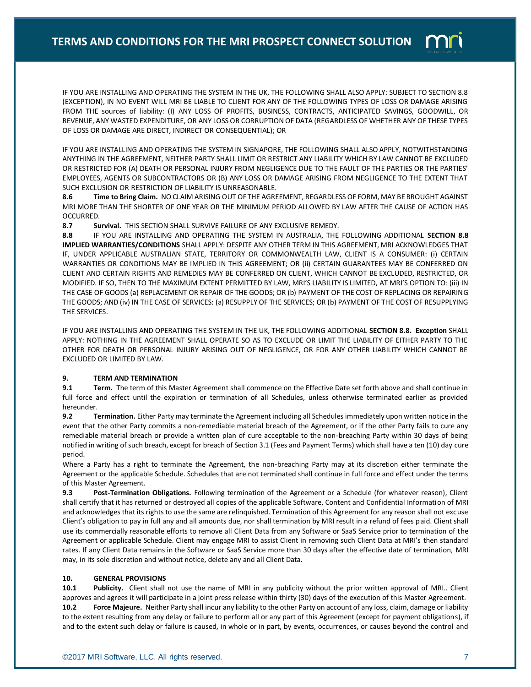IF YOU ARE INSTALLING AND OPERATING THE SYSTEM IN THE UK, THE FOLLOWING SHALL ALSO APPLY: SUBJECT TO SECTION 8.8 (EXCEPTION), IN NO EVENT WILL MRI BE LIABLE TO CLIENT FOR ANY OF THE FOLLOWING TYPES OF LOSS OR DAMAGE ARISING FROM THE sources of liability: (I) ANY LOSS OF PROFITS, BUSINESS, CONTRACTS, ANTICIPATED SAVINGS, GOODWILL, OR REVENUE, ANY WASTED EXPENDITURE, OR ANY LOSS OR CORRUPTION OF DATA (REGARDLESS OF WHETHER ANY OF THESE TYPES OF LOSS OR DAMAGE ARE DIRECT, INDIRECT OR CONSEQUENTIAL); OR

IF YOU ARE INSTALLING AND OPERATING THE SYSTEM IN SIGNAPORE, THE FOLLOWING SHALL ALSO APPLY, NOTWITHSTANDING ANYTHING IN THE AGREEMENT, NEITHER PARTY SHALL LIMIT OR RESTRICT ANY LIABILITY WHICH BY LAW CANNOT BE EXCLUDED OR RESTRICTED FOR (A) DEATH OR PERSONAL INJURY FROM NEGLIGENCE DUE TO THE FAULT OF THE PARTIES OR THE PARTIES' EMPLOYEES, AGENTS OR SUBCONTRACTORS OR (B) ANY LOSS OR DAMAGE ARISING FROM NEGLIGENCE TO THE EXTENT THAT SUCH EXCLUSION OR RESTRICTION OF LIABILITY IS UNREASONABLE.

**8.6 Time to Bring Claim.** NO CLAIM ARISING OUT OF THE AGREEMENT, REGARDLESS OF FORM, MAY BE BROUGHT AGAINST MRI MORE THAN THE SHORTER OF ONE YEAR OR THE MINIMUM PERIOD ALLOWED BY LAW AFTER THE CAUSE OF ACTION HAS OCCURRED.

**8.7 Survival.** THIS SECTION SHALL SURVIVE FAILURE OF ANY EXCLUSIVE REMEDY.

**8.8** IF YOU ARE INSTALLING AND OPERATING THE SYSTEM IN AUSTRALIA, THE FOLLOWING ADDITIONAL **SECTION 8.8 IMPLIED WARRANTIES/CONDITIONS** SHALL APPLY: DESPITE ANY OTHER TERM IN THIS AGREEMENT, MRI ACKNOWLEDGES THAT IF, UNDER APPLICABLE AUSTRALIAN STATE, TERRITORY OR COMMONWEALTH LAW, CLIENT IS A CONSUMER: (i) CERTAIN WARRANTIES OR CONDITIONS MAY BE IMPLIED IN THIS AGREEMENT; OR (ii) CERTAIN GUARANTEES MAY BE CONFERRED ON CLIENT AND CERTAIN RIGHTS AND REMEDIES MAY BE CONFERRED ON CLIENT, WHICH CANNOT BE EXCLUDED, RESTRICTED, OR MODIFIED. IF SO, THEN TO THE MAXIMUM EXTENT PERMITTED BY LAW, MRI'S LIABILITY IS LIMITED, AT MRI'S OPTION TO: (iii) IN THE CASE OF GOODS (a) REPLACEMENT OR REPAIR OF THE GOODS; OR (b) PAYMENT OF THE COST OF REPLACING OR REPAIRING THE GOODS; AND (iv) IN THE CASE OF SERVICES: (a) RESUPPLY OF THE SERVICES; OR (b) PAYMENT OF THE COST OF RESUPPLYING THE SERVICES.

IF YOU ARE INSTALLING AND OPERATING THE SYSTEM IN THE UK, THE FOLLOWING ADDITIONAL **SECTION 8.8. Exception** SHALL APPLY: NOTHING IN THE AGREEMENT SHALL OPERATE SO AS TO EXCLUDE OR LIMIT THE LIABILITY OF EITHER PARTY TO THE OTHER FOR DEATH OR PERSONAL INJURY ARISING OUT OF NEGLIGENCE, OR FOR ANY OTHER LIABILITY WHICH CANNOT BE EXCLUDED OR LIMITED BY LAW.

## **9. TERM AND TERMINATION**

**9.1 Term.** The term of this Master Agreement shall commence on the Effective Date set forth above and shall continue in full force and effect until the expiration or termination of all Schedules, unless otherwise terminated earlier as provided hereunder.

**9.2 Termination.** Either Party may terminate the Agreement including all Schedules immediately upon written notice in the event that the other Party commits a non-remediable material breach of the Agreement, or if the other Party fails to cure any remediable material breach or provide a written plan of cure acceptable to the non-breaching Party within 30 days of being notified in writing of such breach, except for breach of Section 3.1 (Fees and Payment Terms) which shall have a ten (10) day cure period.

Where a Party has a right to terminate the Agreement, the non-breaching Party may at its discretion either terminate the Agreement or the applicable Schedule. Schedules that are not terminated shall continue in full force and effect under the terms of this Master Agreement.

**9.3 Post-Termination Obligations.** Following termination of the Agreement or a Schedule (for whatever reason), Client shall certify that it has returned or destroyed all copies of the applicable Software, Content and Confidential Information of MRI and acknowledges that its rights to use the same are relinquished. Termination of this Agreement for any reason shall not excuse Client's obligation to pay in full any and all amounts due, nor shall termination by MRI result in a refund of fees paid. Client shall use its commercially reasonable efforts to remove all Client Data from any Software or SaaS Service prior to termination of the Agreement or applicable Schedule. Client may engage MRI to assist Client in removing such Client Data at MRI's then standard rates. If any Client Data remains in the Software or SaaS Service more than 30 days after the effective date of termination, MRI may, in its sole discretion and without notice, delete any and all Client Data.

## **10. GENERAL PROVISIONS**

**10.1 Publicity.** Client shall not use the name of MRI in any publicity without the prior written approval of MRI.. Client approves and agrees it will participate in a joint press release within thirty (30) days of the execution of this Master Agreement. **10.2 Force Majeure.** Neither Party shall incur any liability to the other Party on account of any loss, claim, damage or liability to the extent resulting from any delay or failure to perform all or any part of this Agreement (except for payment obligations), if and to the extent such delay or failure is caused, in whole or in part, by events, occurrences, or causes beyond the control and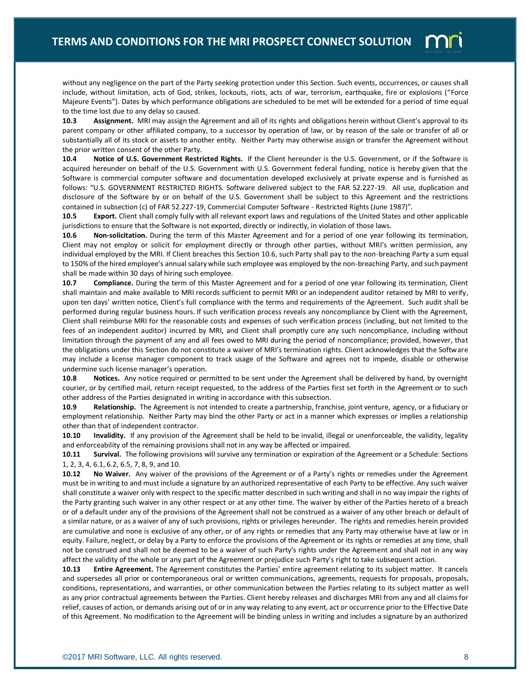

without any negligence on the part of the Party seeking protection under this Section. Such events, occurrences, or causes shall include, without limitation, acts of God, strikes, lockouts, riots, acts of war, terrorism, earthquake, fire or explosions ("Force Majeure Events"). Dates by which performance obligations are scheduled to be met will be extended for a period of time equal to the time lost due to any delay so caused.

**10.3 Assignment.** MRI may assign the Agreement and all of its rights and obligations herein without Client's approval to its parent company or other affiliated company, to a successor by operation of law, or by reason of the sale or transfer of all or substantially all of its stock or assets to another entity. Neither Party may otherwise assign or transfer the Agreement without the prior written consent of the other Party.

**10.4 Notice of U.S. Government Restricted Rights.** If the Client hereunder is the U.S. Government, or if the Software is acquired hereunder on behalf of the U.S. Government with U.S. Government federal funding, notice is hereby given that the Software is commercial computer software and documentation developed exclusively at private expense and is furnished as follows: "U.S. GOVERNMENT RESTRICTED RIGHTS. Software delivered subject to the FAR 52.227-19. All use, duplication and disclosure of the Software by or on behalf of the U.S. Government shall be subject to this Agreement and the restrictions contained in subsection (c) of FAR 52.227-19, Commercial Computer Software - Restricted Rights (June 1987)".

**10.5 Export.** Client shall comply fully with all relevant export laws and regulations of the United States and other applicable jurisdictions to ensure that the Software is not exported, directly or indirectly, in violation of those laws.

**10.6 Non-solicitation.** During the term of this Master Agreement and for a period of one year following its termination, Client may not employ or solicit for employment directly or through other parties, without MRI's written permission, any individual employed by the MRI. If Client breaches this Section 10.6, such Party shall pay to the non-breaching Party a sum equal to 150% of the hired employee's annual salary while such employee was employed by the non-breaching Party, and such payment shall be made within 30 days of hiring such employee.

**10.7 Compliance.** During the term of this Master Agreement and for a period of one year following its termination, Client shall maintain and make available to MRI records sufficient to permit MRI or an independent auditor retained by MRI to verify, upon ten days' written notice, Client's full compliance with the terms and requirements of the Agreement. Such audit shall be performed during regular business hours. If such verification process reveals any noncompliance by Client with the Agreement, Client shall reimburse MRI for the reasonable costs and expenses of such verification process (including, but not limited to the fees of an independent auditor) incurred by MRI, and Client shall promptly cure any such noncompliance, including without limitation through the payment of any and all fees owed to MRI during the period of noncompliance; provided, however, that the obligations under this Section do not constitute a waiver of MRI's termination rights. Client acknowledges that the Software may include a license manager component to track usage of the Software and agrees not to impede, disable or otherwise undermine such license manager's operation.

**10.8 Notices.** Any notice required or permitted to be sent under the Agreement shall be delivered by hand, by overnight courier, or by certified mail, return receipt requested, to the address of the Parties first set forth in the Agreement or to such other address of the Parties designated in writing in accordance with this subsection.

**10.9 Relationship.** The Agreement is not intended to create a partnership, franchise, joint venture, agency, or a fiduciary or employment relationship. Neither Party may bind the other Party or act in a manner which expresses or implies a relationship other than that of independent contractor.

**10.10 Invalidity.** If any provision of the Agreement shall be held to be invalid, illegal or unenforceable, the validity, legality and enforceability of the remaining provisions shall not in any way be affected or impaired.

**10.11 Survival.** The following provisions will survive any termination or expiration of the Agreement or a Schedule: Sections 1, 2, 3, 4, 6.1, 6.2, 6.5, 7, 8, 9, and 10.

**10.12 No Waiver.** Any waiver of the provisions of the Agreement or of a Party's rights or remedies under the Agreement must be in writing to and must include a signature by an authorized representative of each Party to be effective. Any such waiver shall constitute a waiver only with respect to the specific matter described in such writing and shall in no way impair the rights of the Party granting such waiver in any other respect or at any other time. The waiver by either of the Parties hereto of a breach or of a default under any of the provisions of the Agreement shall not be construed as a waiver of any other breach or default of a similar nature, or as a waiver of any of such provisions, rights or privileges hereunder. The rights and remedies herein provided are cumulative and none is exclusive of any other, or of any rights or remedies that any Party may otherwise have at law or in equity. Failure, neglect, or delay by a Party to enforce the provisions of the Agreement or its rights or remedies at any time, shall not be construed and shall not be deemed to be a waiver of such Party's rights under the Agreement and shall not in any way affect the validity of the whole or any part of the Agreement or prejudice such Party's right to take subsequent action.

**10.13 Entire Agreement.** The Agreement constitutes the Parties' entire agreement relating to its subject matter. It cancels and supersedes all prior or contemporaneous oral or written communications, agreements, requests for proposals, proposals, conditions, representations, and warranties, or other communication between the Parties relating to its subject matter as well as any prior contractual agreements between the Parties. Client hereby releases and discharges MRI from any and all claims for relief, causes of action, or demands arising out of or in any way relating to any event, act or occurrence prior to the Effective Date of this Agreement. No modification to the Agreement will be binding unless in writing and includes a signature by an authorized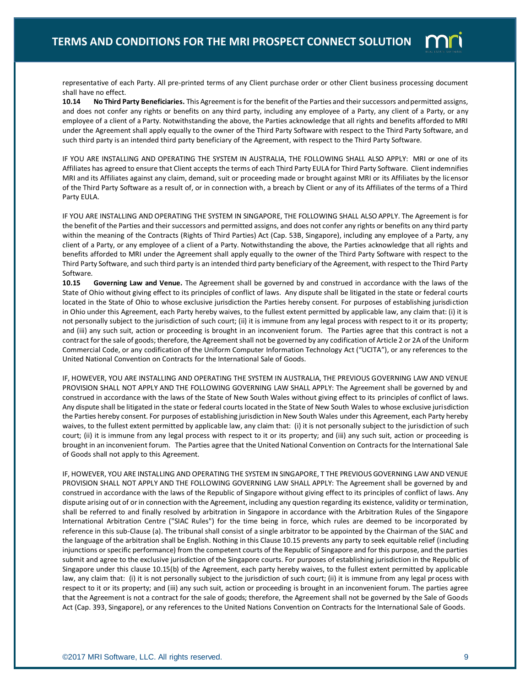

representative of each Party. All pre-printed terms of any Client purchase order or other Client business processing document shall have no effect.

**10.14 No Third Party Beneficiaries.** This Agreement is for the benefit of the Parties and their successors and permitted assigns, and does not confer any rights or benefits on any third party, including any employee of a Party, any client of a Party, or any employee of a client of a Party. Notwithstanding the above, the Parties acknowledge that all rights and benefits afforded to MRI under the Agreement shall apply equally to the owner of the Third Party Software with respect to the Third Party Software, and such third party is an intended third party beneficiary of the Agreement, with respect to the Third Party Software.

IF YOU ARE INSTALLING AND OPERATING THE SYSTEM IN AUSTRALIA, THE FOLLOWING SHALL ALSO APPLY: MRI or one of its Affiliates has agreed to ensure that Client accepts the terms of each Third Party EULA for Third Party Software. Client indemnifies MRI and its Affiliates against any claim, demand, suit or proceeding made or brought against MRI or its Affiliates by the licensor of the Third Party Software as a result of, or in connection with, a breach by Client or any of its Affiliates of the terms of a Third Party EULA.

IF YOU ARE INSTALLING AND OPERATING THE SYSTEM IN SINGAPORE, THE FOLLOWING SHALL ALSO APPLY. The Agreement is for the benefit of the Parties and their successors and permitted assigns, and does not confer any rights or benefits on any third party within the meaning of the Contracts (Rights of Third Parties) Act (Cap. 53B, Singapore), including any employee of a Party, any client of a Party, or any employee of a client of a Party. Notwithstanding the above, the Parties acknowledge that all rights and benefits afforded to MRI under the Agreement shall apply equally to the owner of the Third Party Software with respect to the Third Party Software, and such third party is an intended third party beneficiary of the Agreement, with respect to the Third Party Software.

**10.15 Governing Law and Venue.** The Agreement shall be governed by and construed in accordance with the laws of the State of Ohio without giving effect to its principles of conflict of laws. Any dispute shall be litigated in the state or federal courts located in the State of Ohio to whose exclusive jurisdiction the Parties hereby consent. For purposes of establishing jurisdiction in Ohio under this Agreement, each Party hereby waives, to the fullest extent permitted by applicable law, any claim that: (i) it is not personally subject to the jurisdiction of such court; (ii) it is immune from any legal process with respect to it or its property; and (iii) any such suit, action or proceeding is brought in an inconvenient forum. The Parties agree that this contract is not a contract for the sale of goods; therefore, the Agreement shall not be governed by any codification of Article 2 or 2A of the Uniform Commercial Code, or any codification of the Uniform Computer Information Technology Act ("UCITA"), or any references to the United National Convention on Contracts for the International Sale of Goods.

IF, HOWEVER, YOU ARE INSTALLING AND OPERATING THE SYSTEM IN AUSTRALIA, THE PREVIOUS GOVERNING LAW AND VENUE PROVISION SHALL NOT APPLY AND THE FOLLOWING GOVERNING LAW SHALL APPLY: The Agreement shall be governed by and construed in accordance with the laws of the State of New South Wales without giving effect to its principles of conflict of laws. Any dispute shall be litigated in the state or federal courts located in the State of New South Wales to whose exclusive jurisdiction the Parties hereby consent. For purposes of establishing jurisdiction in New South Wales under this Agreement, each Party hereby waives, to the fullest extent permitted by applicable law, any claim that: (i) it is not personally subject to the jurisdiction of such court; (ii) it is immune from any legal process with respect to it or its property; and (iii) any such suit, action or proceeding is brought in an inconvenient forum. The Parties agree that the United National Convention on Contracts for the International Sale of Goods shall not apply to this Agreement.

IF, HOWEVER, YOU ARE INSTALLING AND OPERATING THE SYSTEM IN SINGAPORE, T THE PREVIOUS GOVERNING LAW AND VENUE PROVISION SHALL NOT APPLY AND THE FOLLOWING GOVERNING LAW SHALL APPLY: The Agreement shall be governed by and construed in accordance with the laws of the Republic of Singapore without giving effect to its principles of conflict of laws. Any dispute arising out of or in connection with the Agreement, including any question regarding its existence, validity or termination, shall be referred to and finally resolved by arbitration in Singapore in accordance with the Arbitration Rules of the Singapore International Arbitration Centre ("SIAC Rules") for the time being in force, which rules are deemed to be incorporated by reference in this sub-Clause (a). The tribunal shall consist of a single arbitrator to be appointed by the Chairman of the SIAC and the language of the arbitration shall be English. Nothing in this Clause 10.15 prevents any party to seek equitable relief (including injunctions or specific performance) from the competent courts of the Republic of Singapore and for this purpose, and the parties submit and agree to the exclusive jurisdiction of the Singapore courts. For purposes of establishing jurisdiction in the Republic of Singapore under this clause 10.15(b) of the Agreement, each party hereby waives, to the fullest extent permitted by applicable law, any claim that: (i) it is not personally subject to the jurisdiction of such court; (ii) it is immune from any legal process with respect to it or its property; and (iii) any such suit, action or proceeding is brought in an inconvenient forum. The parties agree that the Agreement is not a contract for the sale of goods; therefore, the Agreement shall not be governed by the Sale of Goods Act (Cap. 393, Singapore), or any references to the United Nations Convention on Contracts for the International Sale of Goods.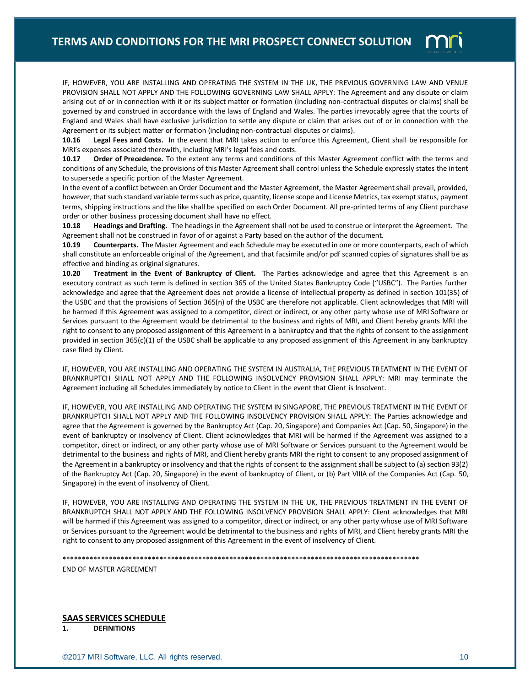

**10.16 Legal Fees and Costs.** In the event that MRI takes action to enforce this Agreement, Client shall be responsible for MRI's expenses associated therewith, including MRI's legal fees and costs.

**10.17 Order of Precedence.** To the extent any terms and conditions of this Master Agreement conflict with the terms and conditions of any Schedule, the provisions of this Master Agreement shall control unless the Schedule expressly states the intent to supersede a specific portion of the Master Agreement.

In the event of a conflict between an Order Document and the Master Agreement, the Master Agreement shall prevail, provided, however, that such standard variable terms such as price, quantity, license scope and License Metrics, tax exempt status, payment terms, shipping instructions and the like shall be specified on each Order Document. All pre-printed terms of any Client purchase order or other business processing document shall have no effect.

**10.18 Headings and Drafting.** The headings in the Agreement shall not be used to construe or interpret the Agreement. The Agreement shall not be construed in favor of or against a Party based on the author of the document.

**10.19 Counterparts.** The Master Agreement and each Schedule may be executed in one or more counterparts, each of which shall constitute an enforceable original of the Agreement, and that facsimile and/or pdf scanned copies of signatures shall be as effective and binding as original signatures.

**10.20 Treatment in the Event of Bankruptcy of Client.** The Parties acknowledge and agree that this Agreement is an executory contract as such term is defined in section 365 of the United States Bankruptcy Code ("USBC"). The Parties further acknowledge and agree that the Agreement does not provide a license of intellectual property as defined in section 101(35) of the USBC and that the provisions of Section 365(n) of the USBC are therefore not applicable. Client acknowledges that MRI will be harmed if this Agreement was assigned to a competitor, direct or indirect, or any other party whose use of MRI Software or Services pursuant to the Agreement would be detrimental to the business and rights of MRI, and Client hereby grants MRI the right to consent to any proposed assignment of this Agreement in a bankruptcy and that the rights of consent to the assignment provided in section 365(c)(1) of the USBC shall be applicable to any proposed assignment of this Agreement in any bankruptcy case filed by Client.

IF, HOWEVER, YOU ARE INSTALLING AND OPERATING THE SYSTEM IN AUSTRALIA, THE PREVIOUS TREATMENT IN THE EVENT OF BRANKRUPTCH SHALL NOT APPLY AND THE FOLLOWING INSOLVENCY PROVISION SHALL APPLY: MRI may terminate the Agreement including all Schedules immediately by notice to Client in the event that Client is Insolvent.

IF, HOWEVER, YOU ARE INSTALLING AND OPERATING THE SYSTEM IN SINGAPORE, THE PREVIOUS TREATMENT IN THE EVENT OF BRANKRUPTCH SHALL NOT APPLY AND THE FOLLOWING INSOLVENCY PROVISION SHALL APPLY: The Parties acknowledge and agree that the Agreement is governed by the Bankruptcy Act (Cap. 20, Singapore) and Companies Act (Cap. 50, Singapore) in the event of bankruptcy or insolvency of Client. Client acknowledges that MRI will be harmed if the Agreement was assigned to a competitor, direct or indirect, or any other party whose use of MRI Software or Services pursuant to the Agreement would be detrimental to the business and rights of MRI, and Client hereby grants MRI the right to consent to any proposed assignment of the Agreement in a bankruptcy or insolvency and that the rights of consent to the assignment shall be subject to (a) section 93(2) of the Bankruptcy Act (Cap. 20, Singapore) in the event of bankruptcy of Client, or (b) Part VIIIA of the Companies Act (Cap. 50, Singapore) in the event of insolvency of Client.

IF, HOWEVER, YOU ARE INSTALLING AND OPERATING THE SYSTEM IN THE UK, THE PREVIOUS TREATMENT IN THE EVENT OF BRANKRUPTCH SHALL NOT APPLY AND THE FOLLOWING INSOLVENCY PROVISION SHALL APPLY: Client acknowledges that MRI will be harmed if this Agreement was assigned to a competitor, direct or indirect, or any other party whose use of MRI Software or Services pursuant to the Agreement would be detrimental to the business and rights of MRI, and Client hereby grants MRI the right to consent to any proposed assignment of this Agreement in the event of insolvency of Client.

\*\*\*\*\*\*\*\*\*\*\*\*\*\*\*\*\*\*\*\*\*\*\*\*\*\*\*\*\*\*\*\*\*\*\*\*\*\*\*\*\*\*\*\*\*\*\*\*\*\*\*\*\*\*\*\*\*\*\*\*\*\*\*\*\*\*\*\*\*\*\*\*\*\*\*\*\*\*\*\*\*\*\*\*\*\*\*\*\*\*\*\*

END OF MASTER AGREEMENT

**SAAS SERVICES SCHEDULE 1. DEFINITIONS**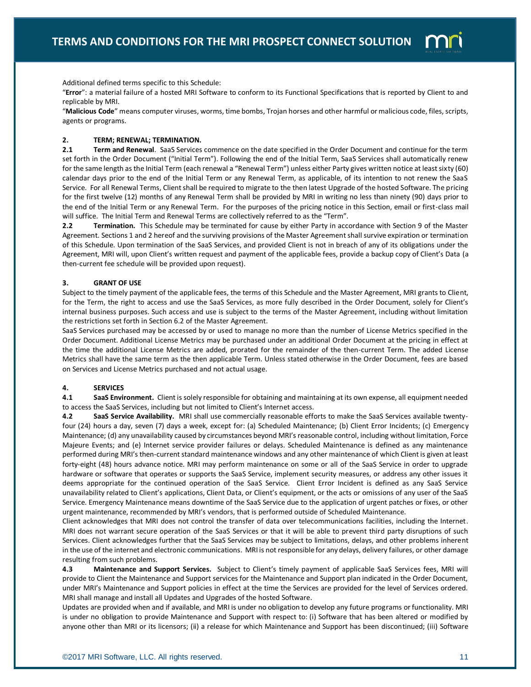

Additional defined terms specific to this Schedule:

"**Error**": a material failure of a hosted MRI Software to conform to its Functional Specifications that is reported by Client to and replicable by MRI.

"**Malicious Code**" means computer viruses, worms, time bombs, Trojan horses and other harmful or malicious code, files, scripts, agents or programs.

### **2. TERM; RENEWAL; TERMINATION.**

**2.1 Term and Renewal**. SaaS Services commence on the date specified in the Order Document and continue for the term set forth in the Order Document ("Initial Term"). Following the end of the Initial Term, SaaS Services shall automatically renew for the same length as the Initial Term (each renewal a "Renewal Term") unless either Party gives written notice at least sixty (60) calendar days prior to the end of the Initial Term or any Renewal Term, as applicable, of its intention to not renew the SaaS Service. For all Renewal Terms, Client shall be required to migrate to the then latest Upgrade of the hosted Software. The pricing for the first twelve (12) months of any Renewal Term shall be provided by MRI in writing no less than ninety (90) days prior to the end of the Initial Term or any Renewal Term. For the purposes of the pricing notice in this Section, email or first-class mail will suffice. The Initial Term and Renewal Terms are collectively referred to as the "Term".

**2.2 Termination.** This Schedule may be terminated for cause by either Party in accordance with Section 9 of the Master Agreement. Sections 1 and 2 hereof and the surviving provisions of the Master Agreement shall survive expiration or termination of this Schedule. Upon termination of the SaaS Services, and provided Client is not in breach of any of its obligations under the Agreement, MRI will, upon Client's written request and payment of the applicable fees, provide a backup copy of Client's Data (a then-current fee schedule will be provided upon request).

# **3. GRANT OF USE**

Subject to the timely payment of the applicable fees, the terms of this Schedule and the Master Agreement, MRI grants to Client, for the Term, the right to access and use the SaaS Services, as more fully described in the Order Document, solely for Client's internal business purposes. Such access and use is subject to the terms of the Master Agreement, including without limitation the restrictions set forth in Section 6.2 of the Master Agreement.

SaaS Services purchased may be accessed by or used to manage no more than the number of License Metrics specified in the Order Document. Additional License Metrics may be purchased under an additional Order Document at the pricing in effect at the time the additional License Metrics are added, prorated for the remainder of the then-current Term. The added License Metrics shall have the same term as the then applicable Term. Unless stated otherwise in the Order Document, fees are based on Services and License Metrics purchased and not actual usage.

## **4. SERVICES**

**4.1 SaaS Environment.** Client is solely responsible for obtaining and maintaining at its own expense, all equipment needed to access the SaaS Services, including but not limited to Client's Internet access.

**4.2 SaaS Service Availability.** MRI shall use commercially reasonable efforts to make the SaaS Services available twentyfour (24) hours a day, seven (7) days a week, except for: (a) Scheduled Maintenance; (b) Client Error Incidents; (c) Emergency Maintenance; (d) any unavailability caused by circumstances beyond MRI's reasonable control, including without limitation, Force Majeure Events; and (e) Internet service provider failures or delays. Scheduled Maintenance is defined as any maintenance performed during MRI's then-current standard maintenance windows and any other maintenance of which Client is given at least forty-eight (48) hours advance notice. MRI may perform maintenance on some or all of the SaaS Service in order to upgrade hardware or software that operates or supports the SaaS Service, implement security measures, or address any other issues it deems appropriate for the continued operation of the SaaS Service. Client Error Incident is defined as any SaaS Service unavailability related to Client's applications, Client Data, or Client's equipment, or the acts or omissions of any user of the SaaS Service. Emergency Maintenance means downtime of the SaaS Service due to the application of urgent patches or fixes, or other urgent maintenance, recommended by MRI's vendors, that is performed outside of Scheduled Maintenance.

Client acknowledges that MRI does not control the transfer of data over telecommunications facilities, including the Internet. MRI does not warrant secure operation of the SaaS Services or that it will be able to prevent third party disruptions of such Services. Client acknowledges further that the SaaS Services may be subject to limitations, delays, and other problems inherent in the use of the internet and electronic communications. MRI is not responsible for any delays, delivery failures, or other damage resulting from such problems.

**4.3 Maintenance and Support Services.** Subject to Client's timely payment of applicable SaaS Services fees, MRI will provide to Client the Maintenance and Support services for the Maintenance and Support plan indicated in the Order Document, under MRI's Maintenance and Support policies in effect at the time the Services are provided for the level of Services ordered. MRI shall manage and install all Updates and Upgrades of the hosted Software.

Updates are provided when and if available, and MRI is under no obligation to develop any future programs or functionality. MRI is under no obligation to provide Maintenance and Support with respect to: (i) Software that has been altered or modified by anyone other than MRI or its licensors; (ii) a release for which Maintenance and Support has been discontinued; (iii) Software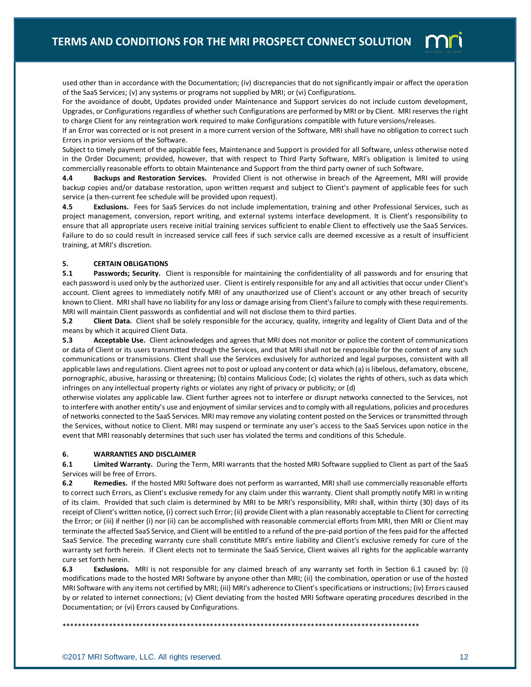

used other than in accordance with the Documentation; (iv) discrepancies that do not significantly impair or affect the operation of the SaaS Services; (v) any systems or programs not supplied by MRI; or (vi) Configurations.

For the avoidance of doubt, Updates provided under Maintenance and Support services do not include custom development, Upgrades, or Configurations regardless of whether such Configurations are performed by MRI or by Client. MRI reserves the right to charge Client for any reintegration work required to make Configurations compatible with future versions/releases.

If an Error was corrected or is not present in a more current version of the Software, MRI shall have no obligation to correct such Errors in prior versions of the Software.

Subject to timely payment of the applicable fees, Maintenance and Support is provided for all Software, unless otherwise noted in the Order Document; provided, however, that with respect to Third Party Software, MRI's obligation is limited to using commercially reasonable efforts to obtain Maintenance and Support from the third party owner of such Software.

**4.4 Backups and Restoration Services.** Provided Client is not otherwise in breach of the Agreement, MRI will provide backup copies and/or database restoration, upon written request and subject to Client's payment of applicable fees for such service (a then-current fee schedule will be provided upon request).

**4.5 Exclusions.** Fees for SaaS Services do not include implementation, training and other Professional Services, such as project management, conversion, report writing, and external systems interface development. It is Client's responsibility to ensure that all appropriate users receive initial training services sufficient to enable Client to effectively use the SaaS Services. Failure to do so could result in increased service call fees if such service calls are deemed excessive as a result of insufficient training, at MRI's discretion.

# **5. CERTAIN OBLIGATIONS**

**5.1 Passwords; Security.** Client is responsible for maintaining the confidentiality of all passwords and for ensuring that each password is used only by the authorized user. Client is entirely responsible for any and all activities that occur under Client's account. Client agrees to immediately notify MRI of any unauthorized use of Client's account or any other breach of security known to Client. MRI shall have no liability for any loss or damage arising from Client's failure to comply with these requirements. MRI will maintain Client passwords as confidential and will not disclose them to third parties.

**5.2 Client Data.** Client shall be solely responsible for the accuracy, quality, integrity and legality of Client Data and of the means by which it acquired Client Data.

**5.3 Acceptable Use.** Client acknowledges and agrees that MRI does not monitor or police the content of communications or data of Client or its users transmitted through the Services, and that MRI shall not be responsible for the content of any such communications or transmissions. Client shall use the Services exclusively for authorized and legal purposes, consistent with all applicable laws and regulations. Client agrees not to post or upload any content or data which (a) is libelous, defamatory, obscene, pornographic, abusive, harassing or threatening; (b) contains Malicious Code; (c) violates the rights of others, such as data which infringes on any intellectual property rights or violates any right of privacy or publicity; or (d)

otherwise violates any applicable law. Client further agrees not to interfere or disrupt networks connected to the Services, not to interfere with another entity's use and enjoyment of similar services and to comply with all regulations, policies and procedures of networks connected to the SaaS Services. MRI may remove any violating content posted on the Services or transmitted through the Services, without notice to Client. MRI may suspend or terminate any user's access to the SaaS Services upon notice in the event that MRI reasonably determines that such user has violated the terms and conditions of this Schedule.

### **6. WARRANTIES AND DISCLAIMER**

**6.1 Limited Warranty.** During the Term, MRI warrants that the hosted MRI Software supplied to Client as part of the SaaS Services will be free of Errors.

**6.2 Remedies.** If the hosted MRI Software does not perform as warranted, MRI shall use commercially reasonable efforts to correct such Errors, as Client's exclusive remedy for any claim under this warranty. Client shall promptly notify MRI in writing of its claim. Provided that such claim is determined by MRI to be MRI's responsibility, MRI shall, within thirty (30) days of its receipt of Client's written notice, (i) correct such Error; (ii) provide Client with a plan reasonably acceptable to Client for correcting the Error; or (iii) if neither (i) nor (ii) can be accomplished with reasonable commercial efforts from MRI, then MRI or Client may terminate the affected SaaS Service, and Client will be entitled to a refund of the pre-paid portion of the fees paid for the affected SaaS Service. The preceding warranty cure shall constitute MRI's entire liability and Client's exclusive remedy for cure of the warranty set forth herein. If Client elects not to terminate the SaaS Service, Client waives all rights for the applicable warranty cure set forth herein.

**6.3 Exclusions.** MRI is not responsible for any claimed breach of any warranty set forth in Section 6.1 caused by: (i) modifications made to the hosted MRI Software by anyone other than MRI; (ii) the combination, operation or use of the hosted MRI Software with any items not certified by MRI; (iii) MRI's adherence to Client's specifications or instructions; (iv) Errors caused by or related to internet connections; (v) Client deviating from the hosted MRI Software operating procedures described in the Documentation; or (vi) Errors caused by Configurations.

\*\*\*\*\*\*\*\*\*\*\*\*\*\*\*\*\*\*\*\*\*\*\*\*\*\*\*\*\*\*\*\*\*\*\*\*\*\*\*\*\*\*\*\*\*\*\*\*\*\*\*\*\*\*\*\*\*\*\*\*\*\*\*\*\*\*\*\*\*\*\*\*\*\*\*\*\*\*\*\*\*\*\*\*\*\*\*\*\*\*\*\*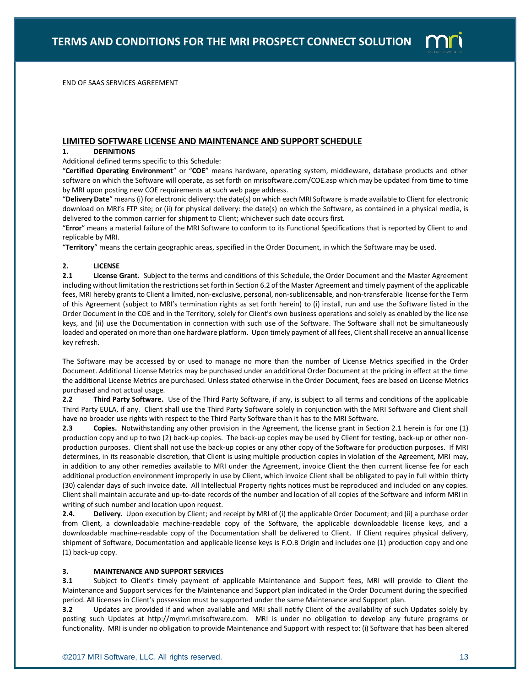

END OF SAAS SERVICES AGREEMENT

# **LIMITED SOFTWARE LICENSE AND MAINTENANCE AND SUPPORT SCHEDULE**

## **1. DEFINITIONS**

Additional defined terms specific to this Schedule:

"**Certified Operating Environment**" or "**COE**" means hardware, operating system, middleware, database products and other software on which the Software will operate, as set forth on mrisoftware.com/COE.asp which may be updated from time to time by MRI upon posting new COE requirements at such web page address.

"**Delivery Date**" means (i) for electronic delivery: the date(s) on which each MRI Software is made available to Client for electronic download on MRI's FTP site; or (ii) for physical delivery: the date(s) on which the Software, as contained in a physical media, is delivered to the common carrier for shipment to Client; whichever such date occurs first.

"**Error**" means a material failure of the MRI Software to conform to its Functional Specifications that is reported by Client to and replicable by MRI.

"**Territory**" means the certain geographic areas, specified in the Order Document, in which the Software may be used.

## **2. LICENSE**

**2.1 License Grant.** Subject to the terms and conditions of this Schedule, the Order Document and the Master Agreement including without limitation the restrictions set forth in Section 6.2 of the Master Agreement and timely payment of the applicable fees, MRI hereby grants to Client a limited, non-exclusive, personal, non-sublicensable, and non-transferable license for the Term of this Agreement (subject to MRI's termination rights as set forth herein) to (i) install, run and use the Software listed in the Order Document in the COE and in the Territory, solely for Client's own business operations and solely as enabled by the license keys, and (ii) use the Documentation in connection with such use of the Software. The Software shall not be simultaneously loaded and operated on more than one hardware platform. Upon timely payment of all fees, Client shall receive an annual license key refresh.

The Software may be accessed by or used to manage no more than the number of License Metrics specified in the Order Document. Additional License Metrics may be purchased under an additional Order Document at the pricing in effect at the time the additional License Metrics are purchased. Unless stated otherwise in the Order Document, fees are based on License Metrics purchased and not actual usage.

**2.2 Third Party Software.** Use of the Third Party Software, if any, is subject to all terms and conditions of the applicable Third Party EULA, if any. Client shall use the Third Party Software solely in conjunction with the MRI Software and Client shall have no broader use rights with respect to the Third Party Software than it has to the MRI Software.

**2.3 Copies.** Notwithstanding any other provision in the Agreement, the license grant in Section 2.1 herein is for one (1) production copy and up to two (2) back-up copies. The back-up copies may be used by Client for testing, back-up or other nonproduction purposes. Client shall not use the back-up copies or any other copy of the Software for production purposes. If MRI determines, in its reasonable discretion, that Client is using multiple production copies in violation of the Agreement, MRI may, in addition to any other remedies available to MRI under the Agreement, invoice Client the then current license fee for each additional production environment improperly in use by Client, which invoice Client shall be obligated to pay in full within thirty (30) calendar days of such invoice date. All Intellectual Property rights notices must be reproduced and included on any copies. Client shall maintain accurate and up-to-date records of the number and location of all copies of the Software and inform MRI in writing of such number and location upon request.

**2.4.** Delivery. Upon execution by Client; and receipt by MRI of (i) the applicable Order Document; and (ii) a purchase order from Client, a downloadable machine-readable copy of the Software, the applicable downloadable license keys, and a downloadable machine-readable copy of the Documentation shall be delivered to Client. If Client requires physical delivery, shipment of Software, Documentation and applicable license keys is F.O.B Origin and includes one (1) production copy and one (1) back-up copy.

## **3. MAINTENANCE AND SUPPORT SERVICES**

**3.1** Subject to Client's timely payment of applicable Maintenance and Support fees, MRI will provide to Client the Maintenance and Support services for the Maintenance and Support plan indicated in the Order Document during the specified period. All licenses in Client's possession must be supported under the same Maintenance and Support plan.

**3.2** Updates are provided if and when available and MRI shall notify Client of the availability of such Updates solely by posting such Updates at http://mymri.mrisoftware.com. MRI is under no obligation to develop any future programs or functionality. MRI is under no obligation to provide Maintenance and Support with respect to: (i) Software that has been altered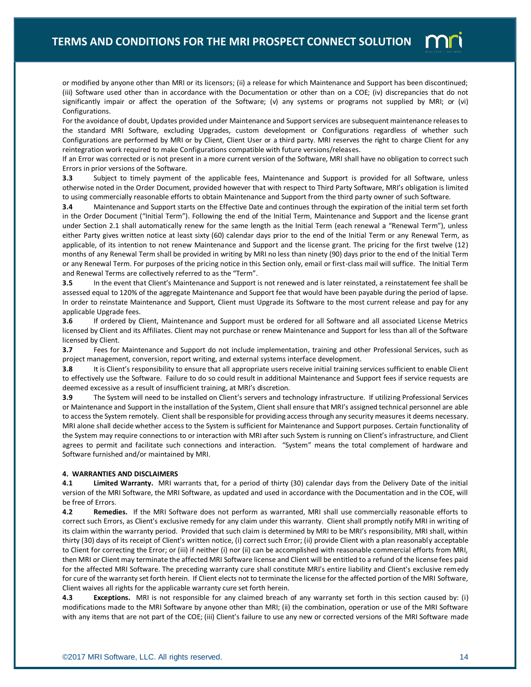

or modified by anyone other than MRI or its licensors; (ii) a release for which Maintenance and Support has been discontinued; (iii) Software used other than in accordance with the Documentation or other than on a COE; (iv) discrepancies that do not significantly impair or affect the operation of the Software; (v) any systems or programs not supplied by MRI; or (vi) Configurations.

For the avoidance of doubt, Updates provided under Maintenance and Support services are subsequent maintenance releases to the standard MRI Software, excluding Upgrades, custom development or Configurations regardless of whether such Configurations are performed by MRI or by Client, Client User or a third party. MRI reserves the right to charge Client for any reintegration work required to make Configurations compatible with future versions/releases.

If an Error was corrected or is not present in a more current version of the Software, MRI shall have no obligation to correct such Errors in prior versions of the Software.

**3.3** Subject to timely payment of the applicable fees, Maintenance and Support is provided for all Software, unless otherwise noted in the Order Document, provided however that with respect to Third Party Software, MRI's obligation is limited to using commercially reasonable efforts to obtain Maintenance and Support from the third party owner of such Software.

**3.4** Maintenance and Support starts on the Effective Date and continues through the expiration of the initial term set forth in the Order Document ("Initial Term"). Following the end of the Initial Term, Maintenance and Support and the license grant under Section 2.1 shall automatically renew for the same length as the Initial Term (each renewal a "Renewal Term"), unless either Party gives written notice at least sixty (60) calendar days prior to the end of the Initial Term or any Renewal Term, as applicable, of its intention to not renew Maintenance and Support and the license grant. The pricing for the first twelve (12) months of any Renewal Term shall be provided in writing by MRI no less than ninety (90) days prior to the end of the Initial Term or any Renewal Term. For purposes of the pricing notice in this Section only, email or first-class mail will suffice. The Initial Term and Renewal Terms are collectively referred to as the "Term".

**3.5** In the event that Client's Maintenance and Support is not renewed and is later reinstated, a reinstatement fee shall be assessed equal to 120% of the aggregate Maintenance and Support fee that would have been payable during the period of lapse. In order to reinstate Maintenance and Support, Client must Upgrade its Software to the most current release and pay for any applicable Upgrade fees.

**3.6** If ordered by Client, Maintenance and Support must be ordered for all Software and all associated License Metrics licensed by Client and its Affiliates. Client may not purchase or renew Maintenance and Support for less than all of the Software licensed by Client.

**3.7** Fees for Maintenance and Support do not include implementation, training and other Professional Services, such as project management, conversion, report writing, and external systems interface development.

**3.8** It is Client's responsibility to ensure that all appropriate users receive initial training services sufficient to enable Client to effectively use the Software. Failure to do so could result in additional Maintenance and Support fees if service requests are deemed excessive as a result of insufficient training, at MRI's discretion.

**3.9** The System will need to be installed on Client's servers and technology infrastructure. If utilizing Professional Services or Maintenance and Support in the installation of the System, Client shall ensure that MRI's assigned technical personnel are able to access the System remotely. Client shall be responsible for providing access through any security measures it deems necessary. MRI alone shall decide whether access to the System is sufficient for Maintenance and Support purposes. Certain functionality of the System may require connections to or interaction with MRI after such System is running on Client's infrastructure, and Client agrees to permit and facilitate such connections and interaction. "System" means the total complement of hardware and Software furnished and/or maintained by MRI.

## **4. WARRANTIES AND DISCLAIMERS**

**4.1 Limited Warranty.** MRI warrants that, for a period of thirty (30) calendar days from the Delivery Date of the initial version of the MRI Software, the MRI Software, as updated and used in accordance with the Documentation and in the COE, will be free of Errors.

**4.2 Remedies.** If the MRI Software does not perform as warranted, MRI shall use commercially reasonable efforts to correct such Errors, as Client's exclusive remedy for any claim under this warranty. Client shall promptly notify MRI in writing of its claim within the warranty period. Provided that such claim is determined by MRI to be MRI's responsibility, MRI shall, within thirty (30) days of its receipt of Client's written notice, (i) correct such Error; (ii) provide Client with a plan reasonably acceptable to Client for correcting the Error; or (iii) if neither (i) nor (ii) can be accomplished with reasonable commercial efforts from MRI, then MRI or Client may terminate the affected MRI Software license and Client will be entitled to a refund of the license fees paid for the affected MRI Software. The preceding warranty cure shall constitute MRI's entire liability and Client's exclusive remedy for cure of the warranty set forth herein. If Client elects not to terminate the license for the affected portion of the MRI Software, Client waives all rights for the applicable warranty cure set forth herein.

**4.3 Exceptions.** MRI is not responsible for any claimed breach of any warranty set forth in this section caused by: (i) modifications made to the MRI Software by anyone other than MRI; (ii) the combination, operation or use of the MRI Software with any items that are not part of the COE; (iii) Client's failure to use any new or corrected versions of the MRI Software made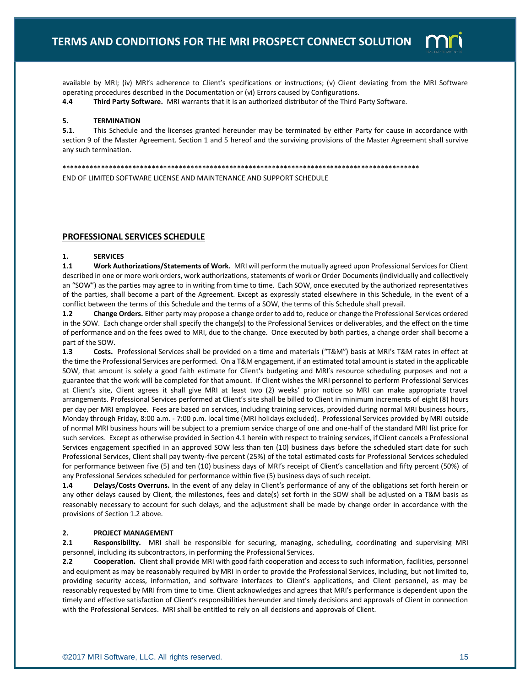

available by MRI; (iv) MRI's adherence to Client's specifications or instructions; (v) Client deviating from the MRI Software operating procedures described in the Documentation or (vi) Errors caused by Configurations.

**4.4 Third Party Software.** MRI warrants that it is an authorized distributor of the Third Party Software.

### **5. TERMINATION**

**5.1**. This Schedule and the licenses granted hereunder may be terminated by either Party for cause in accordance with section 9 of the Master Agreement. Section 1 and 5 hereof and the surviving provisions of the Master Agreement shall survive any such termination.

\*\*\*\*\*\*\*\*\*\*\*\*\*\*\*\*\*\*\*\*\*\*\*\*\*\*\*\*\*\*\*\*\*\*\*\*\*\*\*\*\*\*\*\*\*\*\*\*\*\*\*\*\*\*\*\*\*\*\*\*\*\*\*\*\*\*\*\*\*\*\*\*\*\*\*\*\*\*\*\*\*\*\*\*\*\*\*\*\*\*\*\*

END OF LIMITED SOFTWARE LICENSE AND MAINTENANCE AND SUPPORT SCHEDULE

## **PROFESSIONAL SERVICES SCHEDULE**

#### **1. SERVICES**

**1.1 Work Authorizations/Statements of Work.** MRI will perform the mutually agreed upon Professional Services for Client described in one or more work orders, work authorizations, statements of work or Order Documents (individually and collectively an "SOW") as the parties may agree to in writing from time to time. Each SOW, once executed by the authorized representatives of the parties, shall become a part of the Agreement. Except as expressly stated elsewhere in this Schedule, in the event of a conflict between the terms of this Schedule and the terms of a SOW, the terms of this Schedule shall prevail.

**1.2 Change Orders.** Either party may propose a change order to add to, reduce or change the Professional Services ordered in the SOW. Each change order shall specify the change(s) to the Professional Services or deliverables, and the effect on the time of performance and on the fees owed to MRI, due to the change. Once executed by both parties, a change order shall become a part of the SOW.

**1.3 Costs.** Professional Services shall be provided on a time and materials ("T&M") basis at MRI's T&M rates in effect at the time the Professional Services are performed. On a T&M engagement, if an estimated total amount is stated in the applicable SOW, that amount is solely a good faith estimate for Client's budgeting and MRI's resource scheduling purposes and not a guarantee that the work will be completed for that amount. If Client wishes the MRI personnel to perform Professional Services at Client's site, Client agrees it shall give MRI at least two (2) weeks' prior notice so MRI can make appropriate travel arrangements. Professional Services performed at Client's site shall be billed to Client in minimum increments of eight (8) hours per day per MRI employee. Fees are based on services, including training services, provided during normal MRI business hours, Monday through Friday, 8:00 a.m. - 7:00 p.m. local time (MRI holidays excluded). Professional Services provided by MRI outside of normal MRI business hours will be subject to a premium service charge of one and one-half of the standard MRI list price for such services. Except as otherwise provided in Section 4.1 herein with respect to training services, if Client cancels a Professional Services engagement specified in an approved SOW less than ten (10) business days before the scheduled start date for such Professional Services, Client shall pay twenty-five percent (25%) of the total estimated costs for Professional Services scheduled for performance between five (5) and ten (10) business days of MRI's receipt of Client's cancellation and fifty percent (50%) of any Professional Services scheduled for performance within five (5) business days of such receipt.

**1.4 Delays/Costs Overruns.** In the event of any delay in Client's performance of any of the obligations set forth herein or any other delays caused by Client, the milestones, fees and date(s) set forth in the SOW shall be adjusted on a T&M basis as reasonably necessary to account for such delays, and the adjustment shall be made by change order in accordance with the provisions of Section 1.2 above.

### **2. PROJECT MANAGEMENT**

**2.1 Responsibility.** MRI shall be responsible for securing, managing, scheduling, coordinating and supervising MRI personnel, including its subcontractors, in performing the Professional Services.

**2.2 Cooperation.** Client shall provide MRI with good faith cooperation and access to such information, facilities, personnel and equipment as may be reasonably required by MRI in order to provide the Professional Services, including, but not limited to, providing security access, information, and software interfaces to Client's applications, and Client personnel, as may be reasonably requested by MRI from time to time. Client acknowledges and agrees that MRI's performance is dependent upon the timely and effective satisfaction of Client's responsibilities hereunder and timely decisions and approvals of Client in connection with the Professional Services. MRI shall be entitled to rely on all decisions and approvals of Client.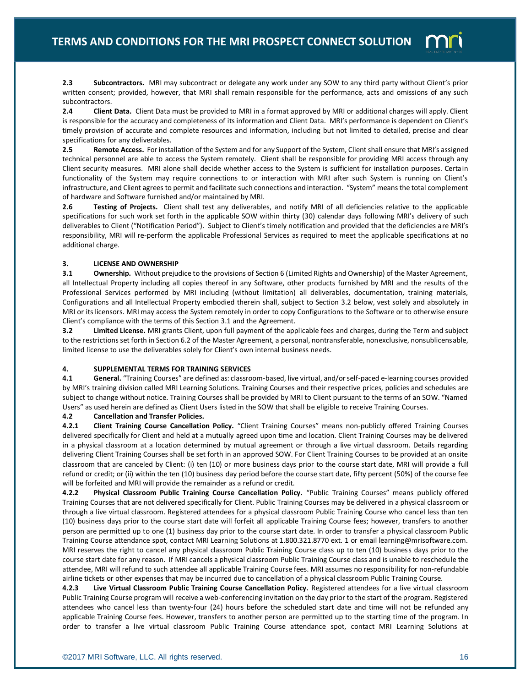

**2.3 Subcontractors.** MRI may subcontract or delegate any work under any SOW to any third party without Client's prior written consent; provided, however, that MRI shall remain responsible for the performance, acts and omissions of any such subcontractors.

**2.4 Client Data.** Client Data must be provided to MRI in a format approved by MRI or additional charges will apply. Client is responsible for the accuracy and completeness of its information and Client Data. MRI's performance is dependent on Client's timely provision of accurate and complete resources and information, including but not limited to detailed, precise and clear specifications for any deliverables.

**2.5 Remote Access.** For installation of the System and for any Support of the System, Client shall ensure that MRI's assigned technical personnel are able to access the System remotely. Client shall be responsible for providing MRI access through any Client security measures. MRI alone shall decide whether access to the System is sufficient for installation purposes. Certain functionality of the System may require connections to or interaction with MRI after such System is running on Client's infrastructure, and Client agrees to permit and facilitate such connections and interaction. "System" means the total complement of hardware and Software furnished and/or maintained by MRI.

**2.6 Testing of Projects.** Client shall test any deliverables, and notify MRI of all deficiencies relative to the applicable specifications for such work set forth in the applicable SOW within thirty (30) calendar days following MRI's delivery of such deliverables to Client ("Notification Period"). Subject to Client's timely notification and provided that the deficiencies are MRI's responsibility, MRI will re-perform the applicable Professional Services as required to meet the applicable specifications at no additional charge.

## **3. LICENSE AND OWNERSHIP**

**3.1** Ownership. Without prejudice to the provisions of Section 6 (Limited Rights and Ownership) of the Master Agreement, all Intellectual Property including all copies thereof in any Software, other products furnished by MRI and the results of the Professional Services performed by MRI including (without limitation) all deliverables, documentation, training materials, Configurations and all Intellectual Property embodied therein shall, subject to Section 3.2 below, vest solely and absolutely in MRI or its licensors. MRI may access the System remotely in order to copy Configurations to the Software or to otherwise ensure Client's compliance with the terms of this Section 3.1 and the Agreement.

**3.2 Limited License.** MRI grants Client, upon full payment of the applicable fees and charges, during the Term and subject to the restrictions set forth in Section 6.2 of the Master Agreement, a personal, nontransferable, nonexclusive, nonsublicensable, limited license to use the deliverables solely for Client's own internal business needs.

## **4. SUPPLEMENTAL TERMS FOR TRAINING SERVICES**

**4.1 General.** "Training Courses" are defined as: classroom-based, live virtual, and/or self-paced e-learning courses provided by MRI's training division called MRI Learning Solutions. Training Courses and their respective prices, policies and schedules are subject to change without notice. Training Courses shall be provided by MRI to Client pursuant to the terms of an SOW. "Named Users" as used herein are defined as Client Users listed in the SOW that shall be eligible to receive Training Courses.

## **4.2 Cancellation and Transfer Policies.**

**4.2.1 Client Training Course Cancellation Policy.** "Client Training Courses" means non-publicly offered Training Courses delivered specifically for Client and held at a mutually agreed upon time and location. Client Training Courses may be delivered in a physical classroom at a location determined by mutual agreement or through a live virtual classroom. Details regarding delivering Client Training Courses shall be set forth in an approved SOW. For Client Training Courses to be provided at an onsite classroom that are canceled by Client: (i) ten (10) or more business days prior to the course start date, MRI will provide a full refund or credit; or (ii) within the ten (10) business day period before the course start date, fifty percent (50%) of the course fee will be forfeited and MRI will provide the remainder as a refund or credit.

**4.2.2 Physical Classroom Public Training Course Cancellation Policy.** "Public Training Courses" means publicly offered Training Courses that are not delivered specifically for Client. Public Training Courses may be delivered in a physical classroom or through a live virtual classroom. Registered attendees for a physical classroom Public Training Course who cancel less than ten (10) business days prior to the course start date will forfeit all applicable Training Course fees; however, transfers to another person are permitted up to one (1) business day prior to the course start date. In order to transfer a physical classroom Public Training Course attendance spot, contact MRI Learning Solutions at 1.800.321.8770 ext. 1 or email learning@mrisoftware.com. MRI reserves the right to cancel any physical classroom Public Training Course class up to ten (10) business days prior to the course start date for any reason. If MRI cancels a physical classroom Public Training Course class and is unable to reschedule the attendee, MRI will refund to such attendee all applicable Training Course fees. MRI assumes no responsibility for non-refundable airline tickets or other expenses that may be incurred due to cancellation of a physical classroom Public Training Course.

**4.2.3 Live Virtual Classroom Public Training Course Cancellation Policy.** Registered attendees for a live virtual classroom Public Training Course program will receive a web-conferencing invitation on the day prior to the start of the program. Registered attendees who cancel less than twenty-four (24) hours before the scheduled start date and time will not be refunded any applicable Training Course fees. However, transfers to another person are permitted up to the starting time of the program. In order to transfer a live virtual classroom Public Training Course attendance spot, contact MRI Learning Solutions at